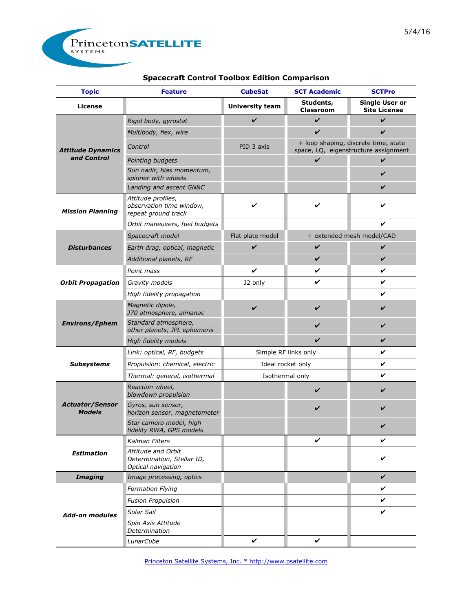

## **Spacecraft Control Toolbox Edition Comparison**

| <b>Topic</b>                            | <b>Feature</b>                                                         | <b>CubeSat</b>            | <b>SCT Academic</b>                                                          | <b>SCTPro</b>                                |
|-----------------------------------------|------------------------------------------------------------------------|---------------------------|------------------------------------------------------------------------------|----------------------------------------------|
| License                                 |                                                                        | <b>University team</b>    | Students,<br><b>Classroom</b>                                                | <b>Single User or</b><br><b>Site License</b> |
| <b>Attitude Dynamics</b><br>and Control | Rigid body, gyrostat                                                   | V                         | V                                                                            | $\boldsymbol{\nu}$                           |
|                                         | Multibody, flex, wire                                                  |                           | V                                                                            | V                                            |
|                                         | Control                                                                | PID 3 axis                | + loop shaping, discrete time, state<br>space, LQ, eigenstructure assignment |                                              |
|                                         | Pointing budgets                                                       |                           | V                                                                            | V                                            |
|                                         | Sun nadir, bias momentum,<br>spinner with wheels                       |                           |                                                                              | V                                            |
|                                         | Landing and ascent GN&C                                                |                           |                                                                              | V                                            |
| <b>Mission Planning</b>                 | Attitude profiles,<br>observation time window,<br>repeat ground track  | V                         | V                                                                            | V                                            |
|                                         | Orbit maneuvers, fuel budgets                                          |                           |                                                                              | V                                            |
| <b>Disturbances</b>                     | Spacecraft model                                                       | Flat plate model          |                                                                              | + extended mesh model/CAD                    |
|                                         | Earth drag, optical, magnetic                                          | V                         | V                                                                            | V                                            |
|                                         | Additional planets, RF                                                 |                           | V                                                                            | V                                            |
| <b>Orbit Propagation</b>                | Point mass                                                             | V                         | V                                                                            | V                                            |
|                                         | Gravity models                                                         | J2 only                   | V                                                                            | ✓                                            |
|                                         | High fidelity propagation                                              |                           |                                                                              | V                                            |
| <b>Environs/Ephem</b>                   | Magnetic dipole,<br>J70 atmosphere, almanac                            | V                         | V                                                                            | V                                            |
|                                         | Standard atmosphere,<br>other planets, JPL ephemeris                   |                           | V                                                                            | V                                            |
|                                         | High fidelity models                                                   |                           | V                                                                            | V                                            |
| <b>Subsystems</b>                       | Link: optical, RF, budgets                                             | ✓<br>Simple RF links only |                                                                              |                                              |
|                                         | Propulsion: chemical, electric                                         | Ideal rocket only         |                                                                              | V                                            |
|                                         | Thermal: general, isothermal                                           | Isothermal only           |                                                                              | V                                            |
| <b>Actuator/Sensor</b><br><b>Models</b> | Reaction wheel,<br>blowdown propulsion                                 |                           | V                                                                            | V                                            |
|                                         | Gyros, sun sensor,<br>horizon sensor, magnetometer                     |                           | V                                                                            |                                              |
|                                         | Star camera model, high<br>fidelity RWA, GPS models                    |                           |                                                                              |                                              |
| <b>Estimation</b>                       | Kalman Filters                                                         |                           | V                                                                            | V                                            |
|                                         | Attitude and Orbit<br>Determination, Stellar ID,<br>Optical navigation |                           |                                                                              | V                                            |
| <b>Imaging</b>                          | Image processing, optics                                               |                           |                                                                              | $\boldsymbol{\nu}$                           |
| <b>Add-on modules</b>                   | <b>Formation Flying</b>                                                |                           |                                                                              | V                                            |
|                                         | <b>Fusion Propulsion</b>                                               |                           |                                                                              | ✓                                            |
|                                         | Solar Sail                                                             |                           |                                                                              | V                                            |
|                                         | Spin Axis Attitude<br>Determination                                    |                           |                                                                              |                                              |
|                                         | LunarCube                                                              | V                         | V                                                                            |                                              |

Princeton Satellite Systems, Inc. \* http://www.psatellite.com